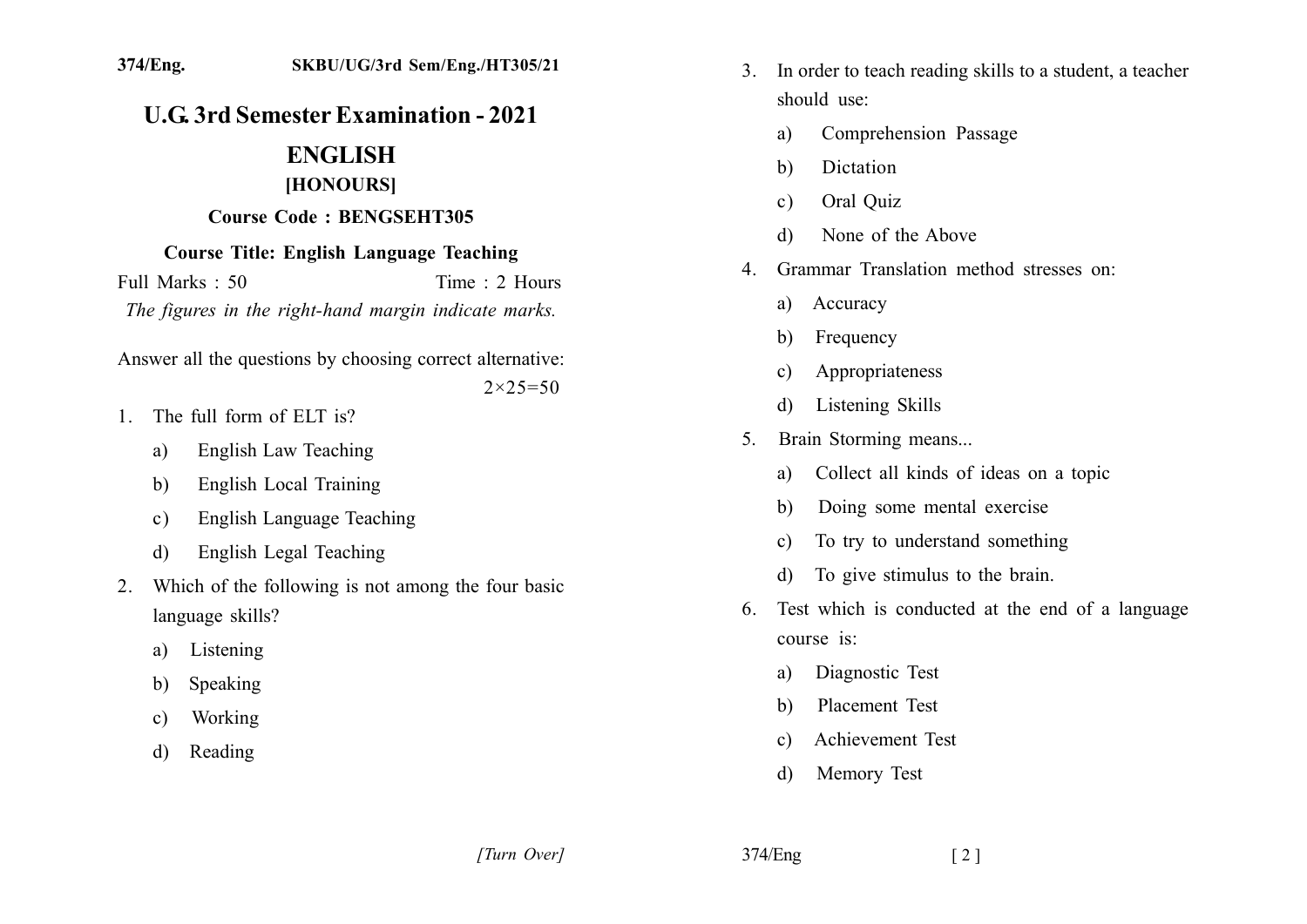## **U.G. 3rd Semester Examination - 2021**

## **ENGLISH** [HONOURS]

## **Course Code: BENGSEHT305**

## **Course Title: English Language Teaching**

Full Marks  $\cdot$  50 Time  $\cdot$  2 Hours The figures in the right-hand margin indicate marks.

Answer all the questions by choosing correct alternative:

 $2 \times 25 = 50$ 

- 1 The full form of  $EIT$  is?
	- **English Law Teaching** a)
	- **English Local Training** b)
	- **English Language Teaching**  $\mathbf{c}$ )
	- English Legal Teaching d)
- Which of the following is not among the four basic  $2<sub>1</sub>$ language skills?
	- Listening a)
	- Speaking b)
	- Working  $\mathbf{c}$
	- Reading d)
- In order to teach reading skills to a student, a teacher  $3<sub>1</sub>$ should use:
	- Comprehension Passage a)
	- **Dictation**  $h)$
	- Oral Quiz  $\mathbf{c}$ )
	- None of the Above  $\mathbf{d}$
- 4. Grammar Translation method stresses on:
	- Accuracy a)
	- Frequency b)
	- Appropriateness  $\mathbf{c}$
	- Listening Skills  $\mathbf{d}$
- Brain Storming means...  $5_{-}$ 
	- Collect all kinds of ideas on a topic a)
	- Doing some mental exercise b)
	- To try to understand something  $\mathbf{c}$
	- To give stimulus to the brain. d)
- Test which is conducted at the end of a language  $6<sub>1</sub>$ course is:
	- Diagnostic Test a)
	- Placement Test  $\mathbf{b}$
	- Achievement Test  $\mathbf{c}$
	- Memory Test  $\mathbf{d}$

374/Eng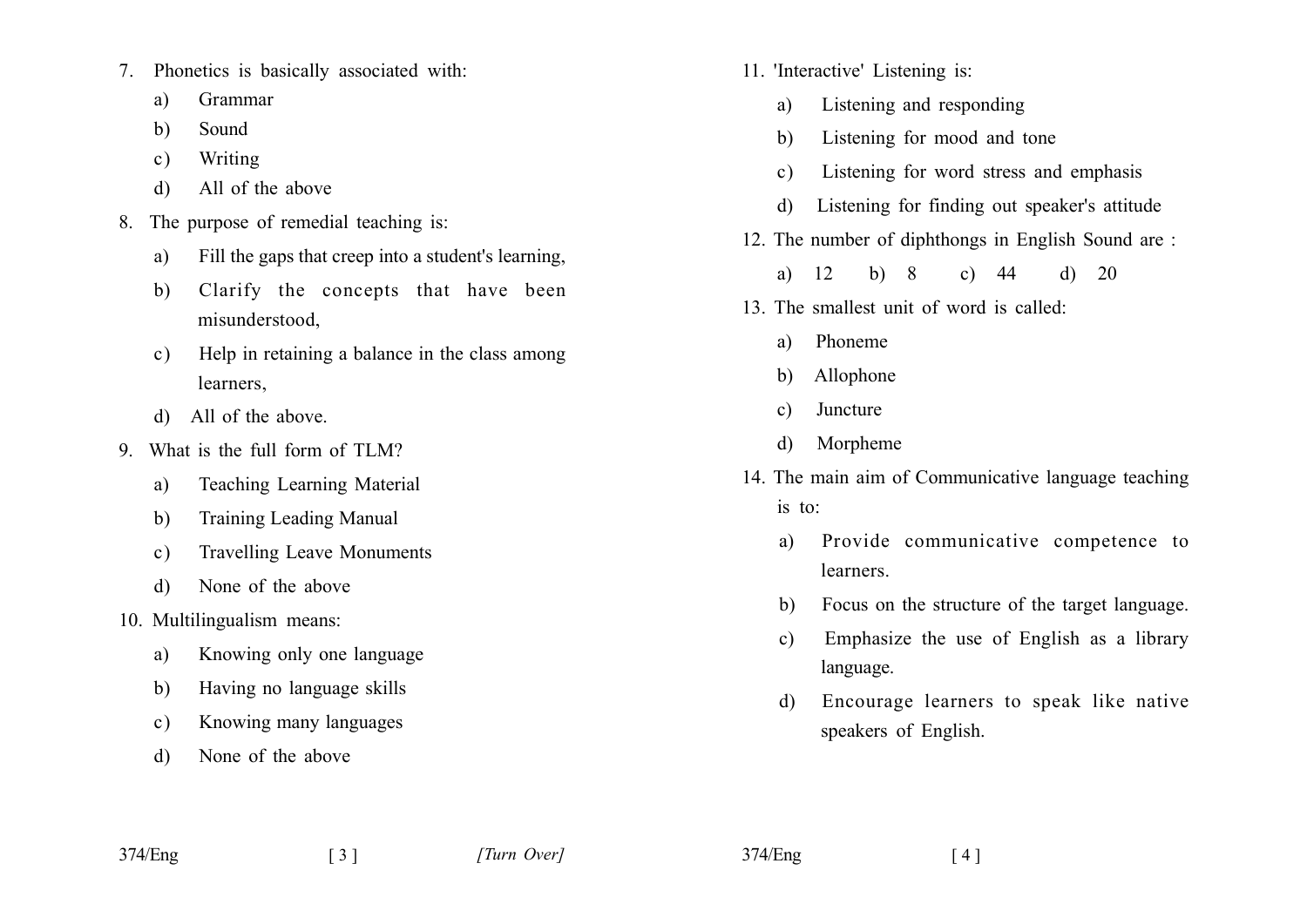- Phonetics is basically associated with:  $7_{\scriptscriptstyle{\sim}}$ 
	- Grammar a)
	- $h)$ Sound
	- Writing  $c)$
	- All of the above d)
- 8. The purpose of remedial teaching is:
	- Fill the gaps that creep into a student's learning. a)
	- Clarify the concepts that have been  $b)$ misunderstood,
	- Help in retaining a balance in the class among  $c)$ learners.
	- d) All of the above.
- 9 What is the full form of TLM?
	- Teaching Learning Material a)
	- **Training Leading Manual** b)
	- **Travelling Leave Monuments**  $c)$
	- None of the above  $\mathbf{d}$
- 10. Multilingualism means:
	- Knowing only one language a)
	- Having no language skills b)
	- Knowing many languages  $c)$
	- None of the above d)
- 11. 'Interactive' Listening is:
	- Listening and responding a)
	- Listening for mood and tone  $h$ )
	- Listening for word stress and emphasis  $c)$
	- Listening for finding out speaker's attitude  $\mathbf{d}$
- 12. The number of diphthongs in English Sound are:
	- $a)$ 12  $b) 8$ c)  $44$  $d)$ 20
- 13. The smallest unit of word is called:
	- Phoneme a)
	- Allophone  $b)$
	- Juncture  $\mathbf{c}$ )
	- Morpheme  $\mathbf{d}$
- 14. The main aim of Communicative language teaching is to:
	- Provide communicative competence to a) learners.
	- Focus on the structure of the target language. b)
	- Emphasize the use of English as a library  $c)$ language.
	- Encourage learners to speak like native d) speakers of English.

 $374$ /Eng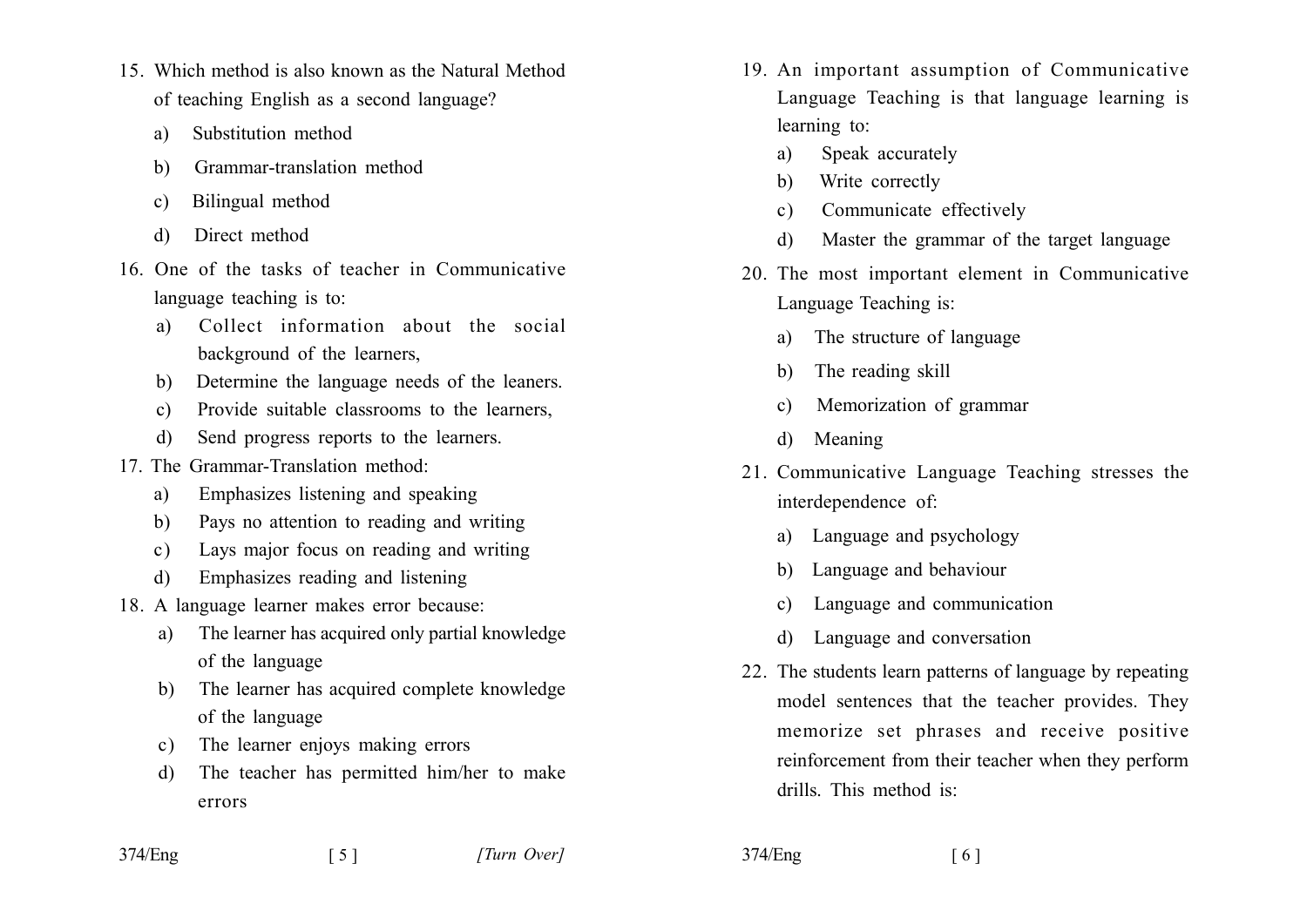- 15. Which method is also known as the Natural Method of teaching English as a second language?
	- Substitution method  $a)$
	- Grammar-translation method  $h)$
	- Bilingual method  $\mathbf{c}$ )
	- Direct method  $\mathbf{d}$
- 16 One of the tasks of teacher in Communicative language teaching is to:
	- Collect information about the social  $\mathbf{a}$ background of the learners.
	- Determine the language needs of the leaners. b)
	- Provide suitable classrooms to the learners,  $\mathbf{c}$ )
	- Send progress reports to the learners. d)
- 17 The Grammar-Translation method:
	- Emphasizes listening and speaking  $a)$
	- Pays no attention to reading and writing  $h)$
	- Lays major focus on reading and writing  $c)$
	- Emphasizes reading and listening  $\overline{d}$
- 18. A language learner makes error because:
	- The learner has acquired only partial knowledge a) of the language
	- b) The learner has acquired complete knowledge of the language
	- The learner enjoys making errors  $c)$
	- The teacher has permitted him/her to make  $\mathbf{d}$ errors

 $\lceil 5 \rceil$ 

- 19. An important assumption of Communicative Language Teaching is that language learning is learning to:
	- Speak accurately a)
	- Write correctly  $b)$
	- Communicate effectively  $c)$
	- Master the grammar of the target language d)
- 20. The most important element in Communicative Language Teaching is:
	- The structure of language a)
	- The reading skill b)
	- Memorization of grammar  $\mathbf{c}$
	- Meaning  $\mathbf{d}$
- 21. Communicative Language Teaching stresses the interdependence of:
	- a) Language and psychology
	- b) Language and behaviour
	- Language and communication  $c)$
	- Language and conversation  $\mathbf{d}$
- 22. The students learn patterns of language by repeating model sentences that the teacher provides. They memorize set phrases and receive positive reinforcement from their teacher when they perform drills. This method is:

 $374$ /Eng